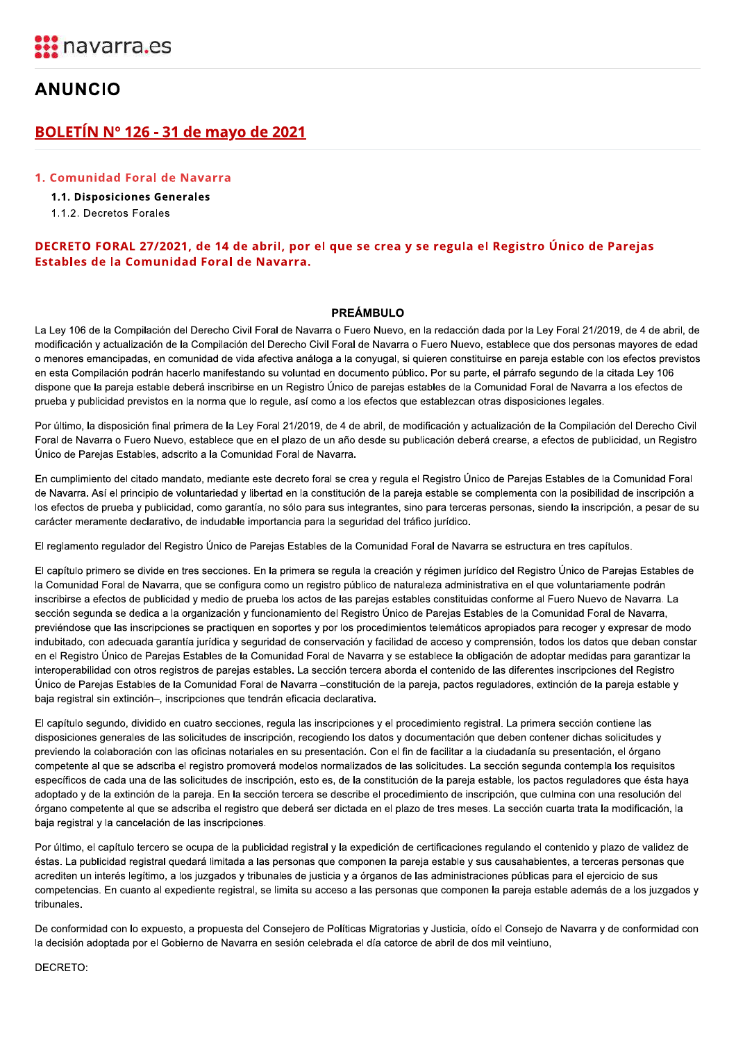# **ANUNCIO**

## <u>BOLETIN N° 126 - 31 de mayo de 2021</u>

#### 1. Comunidad Foral de Navarra

# **BOLETÍN Nº 126 - 31 de mayo de 2021**<br>1. Comunidad Foral de Navarra<br>1.1. Disposiciones Generales<br>1.1.2. Decretos Forales<br>**DECRETO FORAL 27/2021, de 14 de abril, por el que se cre**<br>**Estables de la Comunidad Foral de Navarra** DECRETO FORAL 2772021, de 14 de abril, por el que se crea y se regula el Registro Unico de Parejas Estables de la Comunidad Foral de Navarra.

**DECRETO FORAL 27/2021, de 14 de abril, por el que se crea y se regula el Registro Único de Parejas<br>
Estables de la Comunidad Foral de Navarra.<br>
PREÁMBULO<br>
La Ley 106 de la Complación del Derecho Civil Foral de Navarra o F** 

El reglamento regulador del Registro Único de Parejas Estables de la Comunidad Foral de Navarra se estructura en tres capítulos.

El capítulo primero se divide en tres secciones. En la primera se regula la creación y régimen jurídico del Registro Único de Parejas Estables de la Comunidad Foral de Navarra, que se configura como un registro público de naturaleza administrativa en el que voluntariamente podrán inscribirse a efectos de publicidad y medio de prueba los actos de las parejas estables constituidas conforme al Fuero Nuevo de Navarra. La sección segunda se dedica a la organización y funcionamiento del Registro Único de Parejas Estables de la Comunidad Foral de Navarra, previéndose que las inscripciones se practiquen en soportes y por los procedimientos telemáticos apropiados para recoger y expresar de modo indubitado, con adecuada garantía jurídica y seguridad de conservación y facilidad de acceso y comprensión, todos los datos que deban constar en el Registro Único de Parejas Estables de la Comunidad Foral de Navarra y se establece la obligación de adoptar medidas para garantizar la interoperabilidad con otros registros de parejas estables. La sección tercera aborda el contenido de las diferentes inscripciones del Registro Único de Parejas Estables de la Comunidad Foral de Navarra -constitución de la pareja, pactos reguladores, extinción de la pareja estable y baja registral sin extinción-, inscripciones que tendrán eficacia declarativa.

El capítulo segundo, dividido en cuatro secciones, regula las inscripciones y el procedimiento registral. La primera sección contiene las disposiciones generales de las solicitudes de inscripción, recogiendo los datos y documentación que deben contener dichas solicitudes y previendo la colaboración con las oficinas notariales en su presentación. Con el fin de facilitar a la ciudadanía su presentación, el órgano competente al que se adscriba el registro promoverá modelos normalizados de las solicitudes. La sección segunda contempla los requisitos específicos de cada una de las solicitudes de inscripción, esto es, de la constitución de la pareja estable, los pactos reguladores que ésta haya adoptado y de la extinción de la pareja. En la sección tercera se describe el procedimiento de inscripción, que culmina con una resolución del órgano competente al que se adscriba el registro que deberá ser dictada en el plazo de tres meses. La sección cuarta trata la modificación, la baja registral y la cancelación de las inscripciones.

Por último, el capítulo tercero se ocupa de la publicidad registral y la expedición de certificaciones regulando el contenido y plazo de validez de éstas. La publicidad registral quedará limitada a las personas que componen la pareia estable y sus causahabientes, a terceras personas que acrediten un interés legítimo, a los juzgados y tribunales de justicia y a órganos de las administraciones públicas para el ejercicio de sus competencias. En cuanto al expediente registral, se limita su acceso a las personas que componen la pareja estable además de a los juzgados y tribunales

De conformidad con lo expuesto, a propuesta del Consejero de Políticas Migratorias y Justicia, oído el Consejo de Navarra y de conformidad con la decisión adoptada por el Gobierno de Navarra en sesión celebrada el día catorce de abril de dos mil veintiuno,

#### DECRETO: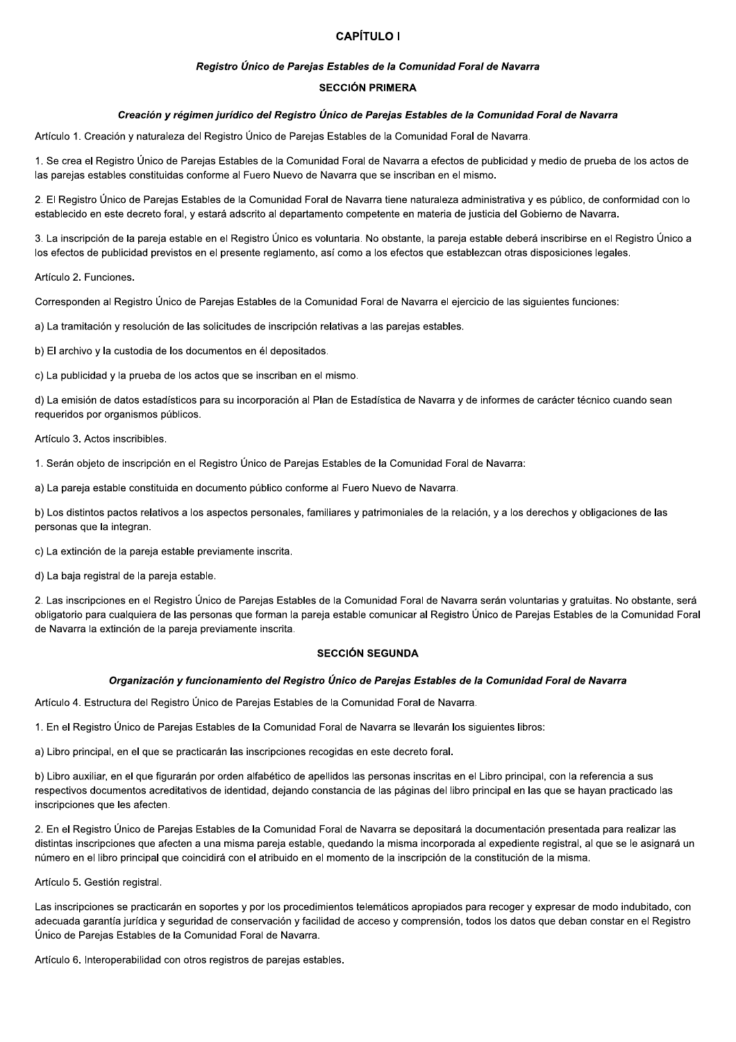## **CAPÍTULO I**

#### Registro Único de Parejas Estables de la Comunidad Foral de Navarra

#### **SECCIÓN PRIMERA**

#### Creación y régimen jurídico del Registro Único de Parejas Estables de la Comunidad Foral de Navarra

Artículo 1. Creación y naturaleza del Registro Único de Parejas Estables de la Comunidad Foral de Navarra.

1. Se crea el Registro Único de Parejas Estables de la Comunidad Foral de Navarra a efectos de publicidad y medio de prueba de los actos de las parejas estables constituidas conforme al Fuero Nuevo de Navarra que se inscriban en el mismo.

2. El Registro Único de Parejas Estables de la Comunidad Foral de Navarra tiene naturaleza administrativa y es público, de conformidad con lo establecido en este decreto foral, y estará adscrito al departamento competente en materia de justicia del Gobierno de Navarra.

3. La inscripción de la pareja estable en el Registro Único es voluntaria. No obstante, la pareja estable deberá inscribirse en el Registro Único a los efectos de publicidad previstos en el presente reglamento, así como a los efectos que establezcan otras disposiciones legales.

Artículo 2. Funciones.

Corresponden al Registro Único de Parejas Estables de la Comunidad Foral de Navarra el ejercicio de las siguientes funciones:

a) La tramitación y resolución de las solicitudes de inscripción relativas a las parejas estables.

b) El archivo y la custodia de los documentos en él depositados.

c) La publicidad y la prueba de los actos que se inscriban en el mismo.

d) La emisión de datos estadísticos para su incorporación al Plan de Estadística de Navarra y de informes de carácter técnico cuando sean requeridos por organismos públicos.

Artículo 3. Actos inscribibles.

1. Serán objeto de inscripción en el Registro Único de Parejas Estables de la Comunidad Foral de Navarra:

a) La pareja estable constituida en documento público conforme al Fuero Nuevo de Navarra.

b) Los distintos pactos relativos a los aspectos personales, familiares y patrimoniales de la relación, y a los derechos y obligaciones de las personas que la integran.

c) La extinción de la pareja estable previamente inscrita.

d) La baja registral de la pareja estable.

2. Las inscripciones en el Registro Único de Parejas Estables de la Comunidad Foral de Navarra serán voluntarias y gratuitas. No obstante, será obligatorio para cualquiera de las personas que forman la pareja estable comunicar al Registro Único de Parejas Estables de la Comunidad Foral de Navarra la extinción de la pareja previamente inscrita.

#### **SECCIÓN SEGUNDA**

#### Organización y funcionamiento del Registro Único de Parejas Estables de la Comunidad Foral de Navarra

Artículo 4. Estructura del Registro Único de Parejas Estables de la Comunidad Foral de Navarra.

1. En el Registro Único de Parejas Estables de la Comunidad Foral de Navarra se llevarán los siguientes libros:

a) Libro principal, en el que se practicarán las inscripciones recogidas en este decreto foral.

b) Libro auxiliar, en el que figurarán por orden alfabético de apellidos las personas inscritas en el Libro principal, con la referencia a sus respectivos documentos acreditativos de identidad, dejando constancia de las páginas del libro principal en las que se hayan practicado las inscripciones que les afecten.

2. En el Registro Único de Parejas Estables de la Comunidad Foral de Navarra se depositará la documentación presentada para realizar las distintas inscripciones que afecten a una misma pareja estable, quedando la misma incorporada al expediente registral, al que se le asignará un número en el libro principal que coincidirá con el atribuido en el momento de la inscripción de la constitución de la misma.

Artículo 5. Gestión registral.

Las inscripciones se practicarán en soportes y por los procedimientos telemáticos apropiados para recoger y expresar de modo indubitado, con adecuada garantía jurídica y seguridad de conservación y facilidad de acceso y comprensión, todos los datos que deban constar en el Registro Único de Parejas Estables de la Comunidad Foral de Navarra.

Artículo 6. Interoperabilidad con otros registros de parejas estables.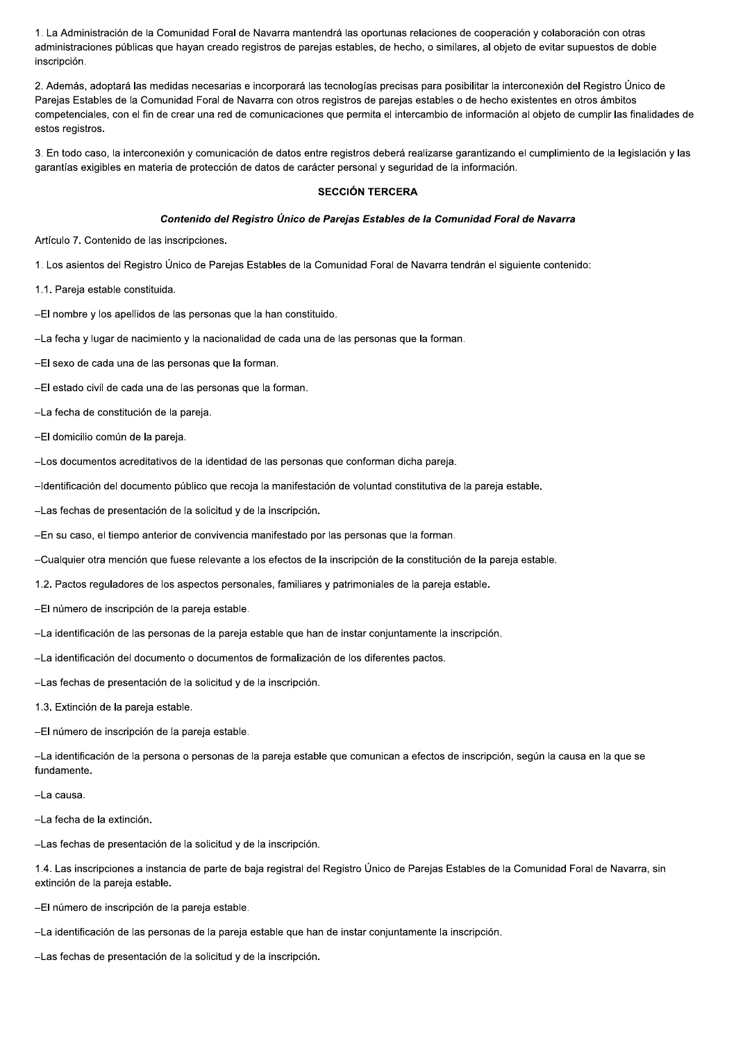1. La Administración de la Comunidad Foral de Navarra mantendrá las oportunas relaciones de cooperación y colaboración con otras administraciones públicas que hayan creado registros de parejas estables, de hecho, o similares, al objeto de evitar supuestos de doble inscripción.

2. Además, adoptará las medidas necesarias e incorporará las tecnologías precisas para posibilitar la interconexión del Registro Único de Parejas Estables de la Comunidad Foral de Navarra con otros registros de parejas estables o de hecho existentes en otros ámbitos competenciales, con el fin de crear una red de comunicaciones que permita el intercambio de información al objeto de cumplir las finalidades de estos registros.

3. En todo caso, la interconexión y comunicación de datos entre registros deberá realizarse garantizando el cumplimiento de la legislación y las garantías exigibles en materia de protección de datos de carácter personal y seguridad de la información.

#### **SECCIÓN TERCERA**

#### Contenido del Registro Único de Parejas Estables de la Comunidad Foral de Navarra

Artículo 7. Contenido de las inscripciones.

1. Los asientos del Registro Único de Parejas Estables de la Comunidad Foral de Navarra tendrán el siguiente contenido:

1.1. Pareja estable constituida.

-El nombre y los apellidos de las personas que la han constituido.

-La fecha y lugar de nacimiento y la nacionalidad de cada una de las personas que la forman.

-El sexo de cada una de las personas que la forman.

-El estado civil de cada una de las personas que la forman.

-La fecha de constitución de la pareja.

-El domicilio común de la pareja.

-Los documentos acreditativos de la identidad de las personas que conforman dicha pareja.

-Identificación del documento público que recoja la manifestación de voluntad constitutiva de la pareja estable.

-Las fechas de presentación de la solicitud y de la inscripción.

-En su caso, el tiempo anterior de convivencia manifestado por las personas que la forman.

-Cualquier otra mención que fuese relevante a los efectos de la inscripción de la constitución de la pareja estable.

1.2. Pactos reguladores de los aspectos personales, familiares y patrimoniales de la pareja estable.

-El número de inscripción de la pareja estable.

-La identificación de las personas de la pareja estable que han de instar conjuntamente la inscripción.

-La identificación del documento o documentos de formalización de los diferentes pactos.

-Las fechas de presentación de la solicitud y de la inscripción.

1.3. Extinción de la pareja estable.

-El número de inscripción de la pareja estable.

-La identificación de la persona o personas de la pareja estable que comunican a efectos de inscripción, según la causa en la que se fundamente.

-La causa.

-La fecha de la extinción.

-Las fechas de presentación de la solicitud y de la inscripción.

1.4. Las inscripciones a instancia de parte de baja registral del Registro Único de Parejas Estables de la Comunidad Foral de Navarra, sin extinción de la pareja estable.

-El número de inscripción de la pareja estable.

-La identificación de las personas de la pareia estable que han de instar conjuntamente la inscripción.

-Las fechas de presentación de la solicitud y de la inscripción.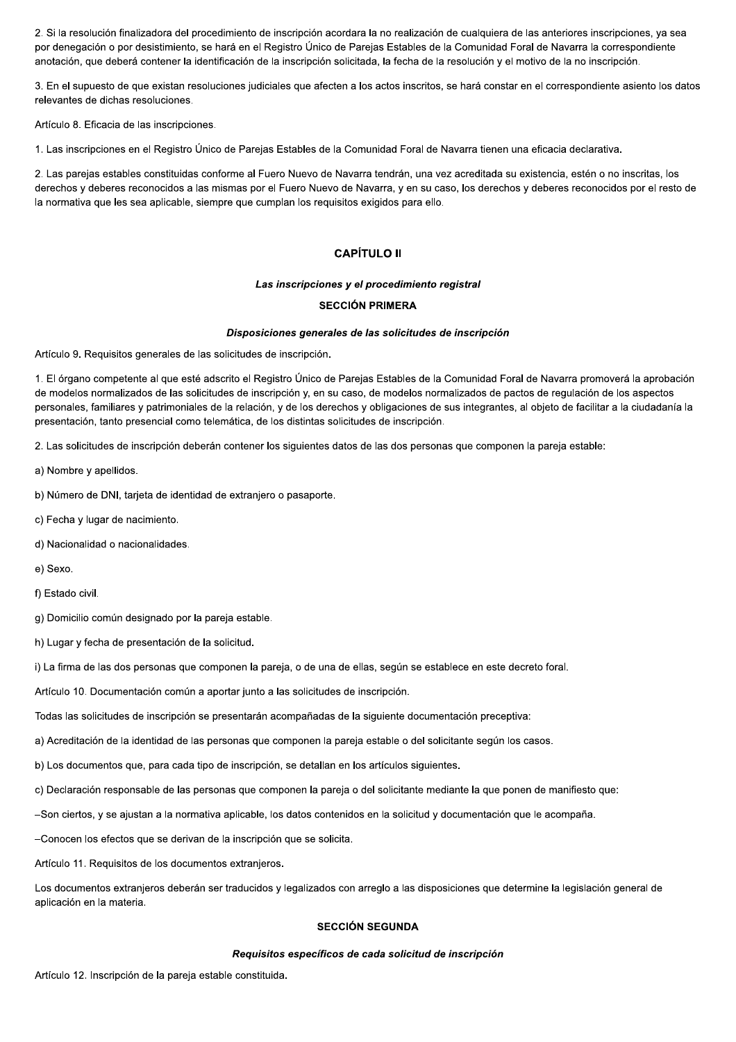2. Si la resolución finalizadora del procedimiento de inscripción acordara la no realización de cualquiera de las anteriores inscripciones, ya sea por denegación o por desistimiento, se hará en el Registro Único de Parejas Estables de la Comunidad Foral de Navarra la correspondiente anotación, que deberá contener la identificación de la inscripción solicitada, la fecha de la resolución y el motivo de la no inscripción.

3. En el supuesto de que existan resoluciones judiciales que afecten a los actos inscritos, se hará constar en el correspondiente asiento los datos relevantes de dichas resoluciones.

Artículo 8. Eficacia de las inscripciones.

1. Las inscripciones en el Registro Único de Parejas Estables de la Comunidad Foral de Navarra tienen una eficacia declarativa.

2. Las parejas estables constituidas conforme al Fuero Nuevo de Navarra tendrán, una vez acreditada su existencia, estén o no inscritas, los derechos y deberes reconocidos a las mismas por el Fuero Nuevo de Navarra, y en su caso, los derechos y deberes reconocidos por el resto de la normativa que les sea aplicable, siempre que cumplan los requisitos exigidos para ello.

#### **CAPÍTULO II**

Las inscripciones y el procedimiento registral

#### **SECCIÓN PRIMERA**

#### Disposiciones generales de las solicitudes de inscripción

Artículo 9. Requisitos generales de las solicitudes de inscripción.

1. El órgano competente al que esté adscrito el Registro Único de Parejas Estables de la Comunidad Foral de Navarra promoverá la aprobación de modelos normalizados de las solicitudes de inscripción y, en su caso, de modelos normalizados de pactos de regulación de los aspectos personales, familiares y patrimoniales de la relación, y de los derechos y obligaciones de sus integrantes, al objeto de facilitar a la ciudadanía la presentación, tanto presencial como telemática, de los distintas solicitudes de inscripción.

2. Las solicitudes de inscripción deberán contener los siguientes datos de las dos personas que componen la pareja estable:

- a) Nombre y apellidos.
- b) Número de DNI, tarjeta de identidad de extranjero o pasaporte.
- c) Fecha y lugar de nacimiento.
- d) Nacionalidad o nacionalidades.
- e) Sexo.
- f) Estado civil.

g) Domicilio común designado por la pareja estable.

h) Lugar y fecha de presentación de la solicitud.

i) La firma de las dos personas que componen la pareja, o de una de ellas, según se establece en este decreto foral.

Artículo 10. Documentación común a aportar junto a las solicitudes de inscripción.

Todas las solicitudes de inscripción se presentarán acompañadas de la siguiente documentación preceptiva:

a) Acreditación de la identidad de las personas que componen la pareja estable o del solicitante según los casos.

b) Los documentos que, para cada tipo de inscripción, se detallan en los artículos siguientes.

c) Declaración responsable de las personas que componen la pareja o del solicitante mediante la que ponen de manifiesto que:

-Son ciertos, y se ajustan a la normativa aplicable, los datos contenidos en la solicitud y documentación que le acompaña.

-Conocen los efectos que se derivan de la inscripción que se solicita.

Artículo 11. Requisitos de los documentos extranjeros.

Los documentos extranjeros deberán ser traducidos y legalizados con arreglo a las disposiciones que determine la legislación general de aplicación en la materia.

#### **SECCIÓN SEGUNDA**

#### Requisitos específicos de cada solicitud de inscripción

Artículo 12. Inscripción de la pareja estable constituida.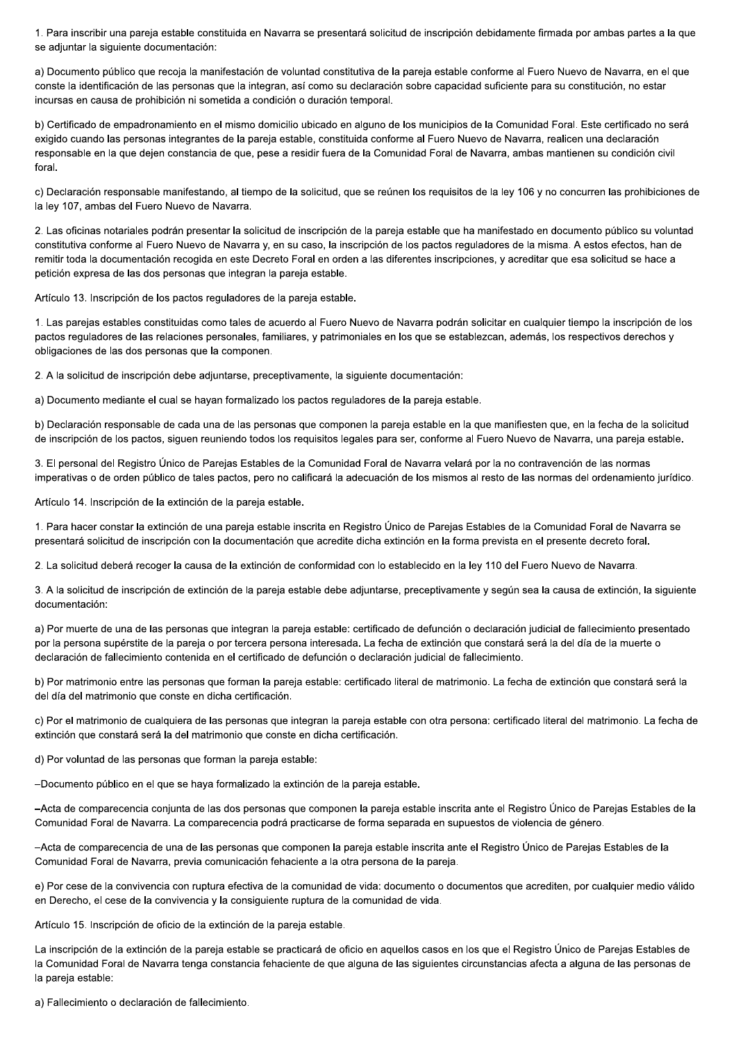1. Para inscribir una pareja estable constituida en Navarra se presentará solicitud de inscripción debidamente firmada por ambas partes a la que se adjuntar la siguiente documentación:

a) Documento público que recoja la manifestación de voluntad constitutiva de la pareja estable conforme al Fuero Nuevo de Navarra, en el que conste la identificación de las personas que la integran, así como su declaración sobre capacidad suficiente para su constitución, no estar incursas en causa de prohibición ni sometida a condición o duración temporal.

b) Certificado de empadronamiento en el mismo domicilio ubicado en alguno de los municipios de la Comunidad Foral. Este certificado no será exigido cuando las personas integrantes de la pareja estable, constituida conforme al Fuero Nuevo de Navarra, realicen una declaración responsable en la que dejen constancia de que, pese a residir fuera de la Comunidad Foral de Navarra, ambas mantienen su condición civil foral.

c) Declaración responsable manifestando, al tiempo de la solicitud, que se reúnen los requisitos de la ley 106 y no concurren las prohibiciones de la ley 107, ambas del Fuero Nuevo de Navarra.

2. Las oficinas notariales podrán presentar la solicitud de inscripción de la pareja estable que ha manifestado en documento público su voluntad constitutiva conforme al Fuero Nuevo de Navarra y, en su caso, la inscripción de los pactos reguladores de la misma. A estos efectos, han de remitir toda la documentación recogida en este Decreto Foral en orden a las diferentes inscripciones, y acreditar que esa solicitud se hace a petición expresa de las dos personas que integran la pareja estable.

Artículo 13. Inscripción de los pactos reguladores de la pareja estable.

1. Las parejas estables constituidas como tales de acuerdo al Fuero Nuevo de Navarra podrán solicitar en cualquier tiempo la inscripción de los pactos reguladores de las relaciones personales, familiares, y patrimoniales en los que se establezcan, además, los respectivos derechos y obligaciones de las dos personas que la componen.

2. A la solicitud de inscripción debe adiuntarse, preceptivamente, la siguiente documentación:

a) Documento mediante el cual se hayan formalizado los pactos reguladores de la pareja estable.

b) Declaración responsable de cada una de las personas que componen la pareja estable en la que manifiesten que, en la fecha de la solicitud de inscripción de los pactos, siguen reuniendo todos los requisitos legales para ser, conforme al Fuero Nuevo de Navarra, una pareja estable.

3. El personal del Registro Único de Parejas Estables de la Comunidad Foral de Navarra velará por la no contravención de las normas imperativas o de orden público de tales pactos, pero no calificará la adecuación de los mismos al resto de las normas del ordenamiento jurídico.

Artículo 14. Inscripción de la extinción de la pareja estable.

1. Para hacer constar la extinción de una pareja estable inscrita en Registro Único de Parejas Estables de la Comunidad Foral de Navarra se presentará solicitud de inscripción con la documentación que acredite dicha extinción en la forma prevista en el presente decreto foral.

2. La solicitud deberá recoger la causa de la extinción de conformidad con lo establecido en la ley 110 del Fuero Nuevo de Navarra.

3. A la solicitud de inscripción de extinción de la pareja estable debe adjuntarse, preceptivamente y según sea la causa de extinción, la siguiente documentación:

a) Por muerte de una de las personas que integran la pareja estable: certificado de defunción o declaración judicial de fallecimiento presentado por la persona supérstite de la pareja o por tercera persona interesada. La fecha de extinción que constará será la del día de la muerte o declaración de fallecimiento contenida en el certificado de defunción o declaración judicial de fallecimiento.

b) Por matrimonio entre las personas que forman la pareja estable: certificado literal de matrimonio. La fecha de extinción que constará será la del día del matrimonio que conste en dicha certificación.

c) Por el matrimonio de cualquiera de las personas que integran la pareja estable con otra persona: certificado literal del matrimonio. La fecha de extinción que constará será la del matrimonio que conste en dicha certificación.

d) Por voluntad de las personas que forman la pareja estable:

-Documento público en el que se haya formalizado la extinción de la pareja estable.

-Acta de comparecencia conjunta de las dos personas que componen la pareja estable inscrita ante el Registro Único de Parejas Estables de la Comunidad Foral de Navarra. La comparecencia podrá practicarse de forma separada en supuestos de violencia de género.

-Acta de comparecencia de una de las personas que componen la pareja estable inscrita ante el Registro Único de Parejas Estables de la Comunidad Foral de Navarra, previa comunicación fehaciente a la otra persona de la pareia.

e) Por cese de la convivencia con ruptura efectiva de la comunidad de vida: documento o documentos que acrediten, por cualquier medio válido en Derecho, el cese de la convivencia y la consiguiente ruptura de la comunidad de vida.

Artículo 15. Inscripción de oficio de la extinción de la pareja estable.

La inscripción de la extinción de la pareja estable se practicará de oficio en aquellos casos en los que el Registro Único de Parejas Estables de la Comunidad Foral de Navarra tenga constancia fehaciente de que alguna de las siguientes circunstancias afecta a alguna de las personas de la pareja estable:

a) Fallecimiento o declaración de fallecimiento.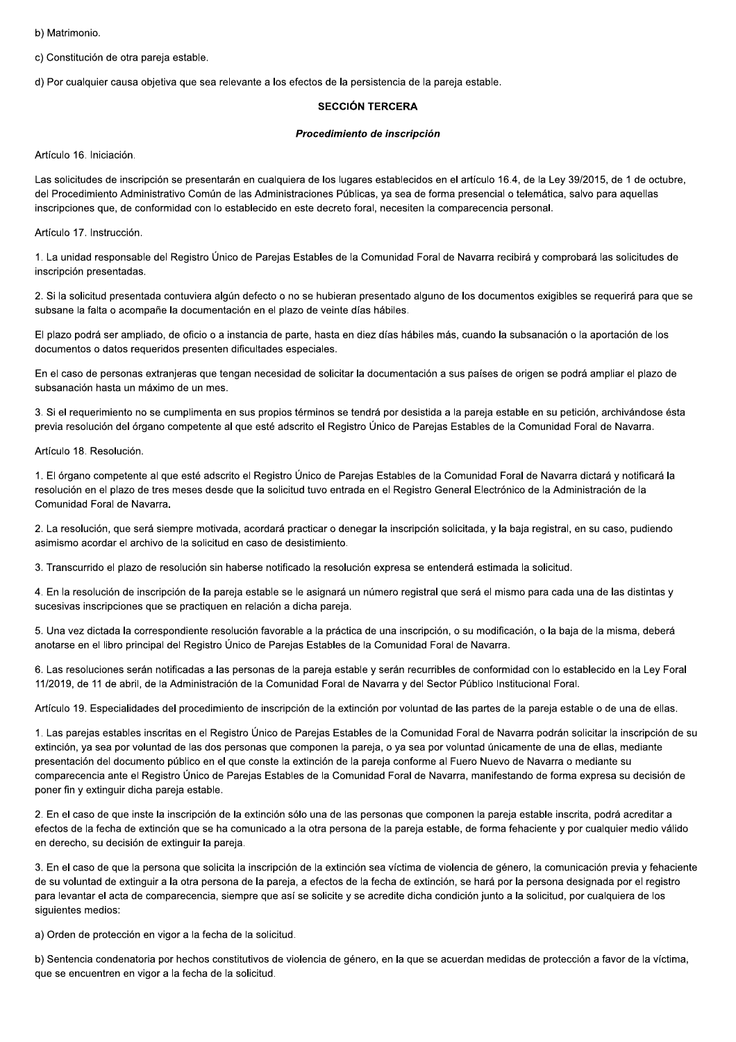b) Matrimonio.

c) Constitución de otra pareja estable.

d) Por cualquier causa objetiva que sea relevante a los efectos de la persistencia de la pareja estable.

#### **SECCIÓN TERCERA**

#### Procedimiento de inscripción

Artículo 16. Iniciación.

Las solicitudes de inscripción se presentarán en cualquiera de los lugares establecidos en el artículo 16.4, de la Ley 39/2015, de 1 de octubre, del Procedimiento Administrativo Común de las Administraciones Públicas, ya sea de forma presencial o telemática, salvo para aquellas inscripciones que, de conformidad con lo establecido en este decreto foral, necesiten la comparecencia personal.

Artículo 17. Instrucción.

1. La unidad responsable del Registro Único de Parejas Estables de la Comunidad Foral de Navarra recibirá y comprobará las solicitudes de inscripción presentadas.

2. Si la solicitud presentada contuviera algún defecto o no se hubieran presentado alguno de los documentos exigibles se requerirá para que se subsane la falta o acompañe la documentación en el plazo de veinte días hábiles.

El plazo podrá ser ampliado, de oficio o a instancia de parte, hasta en diez días hábiles más, cuando la subsanación o la aportación de los documentos o datos requeridos presenten dificultades especiales.

En el caso de personas extranjeras que tengan necesidad de solicitar la documentación a sus países de origen se podrá ampliar el plazo de subsanación hasta un máximo de un mes.

3. Si el requerimiento no se cumplimenta en sus propios términos se tendrá por desistida a la pareja estable en su petición, archivándose ésta previa resolución del órgano competente al que esté adscrito el Registro Único de Parejas Estables de la Comunidad Foral de Navarra.

Artículo 18. Resolución.

1. El órgano competente al que esté adscrito el Registro Único de Parejas Estables de la Comunidad Foral de Navarra dictará y notificará la resolución en el plazo de tres meses desde que la solicitud tuvo entrada en el Registro General Electrónico de la Administración de la Comunidad Foral de Navarra.

2. La resolución, que será siempre motivada, acordará practicar o denegar la inscripción solicitada, y la baja registral, en su caso, pudiendo asimismo acordar el archivo de la solicitud en caso de desistimiento.

3. Transcurrido el plazo de resolución sin haberse notificado la resolución expresa se entenderá estimada la solicitud.

4. En la resolución de inscripción de la pareja estable se le asignará un número registral que será el mismo para cada una de las distintas y sucesivas inscripciones que se practiquen en relación a dicha pareja.

5. Una vez dictada la correspondiente resolución favorable a la práctica de una inscripción, o su modificación, o la baja de la misma, deberá anotarse en el libro principal del Registro Único de Parejas Estables de la Comunidad Foral de Navarra.

6. Las resoluciones serán notificadas a las personas de la pareja estable y serán recurribles de conformidad con lo establecido en la Ley Foral 11/2019, de 11 de abril, de la Administración de la Comunidad Foral de Navarra y del Sector Público Institucional Foral.

Artículo 19. Especialidades del procedimiento de inscripción de la extinción por voluntad de las partes de la pareja estable o de una de ellas.

1. Las parejas estables inscritas en el Registro Único de Parejas Estables de la Comunidad Foral de Navarra podrán solicitar la inscripción de su extinción, ya sea por voluntad de las dos personas que componen la pareja, o ya sea por voluntad únicamente de una de ellas, mediante presentación del documento público en el que conste la extinción de la pareia conforme al Fuero Nuevo de Navarra o mediante su comparecencia ante el Registro Único de Parejas Estables de la Comunidad Foral de Navarra, manifestando de forma expresa su decisión de poner fin y extinguir dicha pareja estable.

2. En el caso de que inste la inscripción de la extinción sólo una de las personas que componen la pareja estable inscrita, podrá acreditar a efectos de la fecha de extinción que se ha comunicado a la otra persona de la pareja estable, de forma fehaciente y por cualquier medio válido en derecho, su decisión de extinguir la pareja.

3. En el caso de que la persona que solicita la inscripción de la extinción sea víctima de violencia de género, la comunicación previa y fehaciente de su voluntad de extinguir a la otra persona de la pareja, a efectos de la fecha de extinción, se hará por la persona designada por el registro para levantar el acta de comparecencia, siempre que así se solicite y se acredite dicha condición junto a la solicitud, por cualquiera de los siguientes medios:

a) Orden de protección en vigor a la fecha de la solicitud.

b) Sentencia condenatoria por hechos constitutivos de violencia de género, en la que se acuerdan medidas de protección a favor de la víctima. que se encuentren en vigor a la fecha de la solicitud.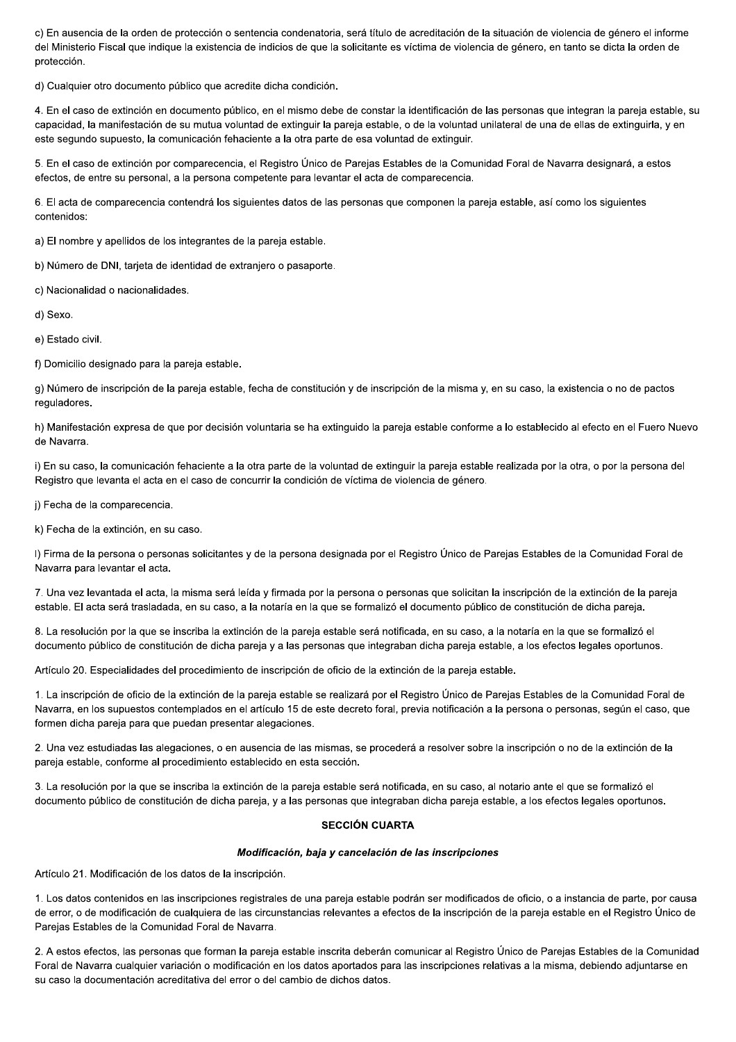c) En ausencia de la orden de protección o sentencia condenatoria, será título de acreditación de la situación de violencia de género el informe del Ministerio Fiscal que indique la existencia de indicios de que la solicitante es víctima de violencia de género, en tanto se dicta la orden de protección.

d) Cualquier otro documento público que acredite dicha condición.

4. En el caso de extinción en documento público, en el mismo debe de constar la identificación de las personas que integran la pareja estable, su capacidad, la manifestación de su mutua voluntad de extinguir la pareja estable, o de la voluntad unilateral de una de ellas de extinguirla, y en este segundo supuesto, la comunicación fehaciente a la otra parte de esa voluntad de extinguir.

5. En el caso de extinción por comparecencia, el Registro Único de Parejas Estables de la Comunidad Foral de Navarra designará, a estos efectos, de entre su personal, a la persona competente para levantar el acta de comparecencia.

6. El acta de comparecencia contendrá los siguientes datos de las personas que componen la pareja estable, así como los siguientes contenidos:

a) El nombre y apellidos de los integrantes de la pareja estable.

b) Número de DNI, tarjeta de identidad de extranjero o pasaporte.

c) Nacionalidad o nacionalidades.

d) Sexo.

e) Estado civil.

f) Domicilio designado para la pareja estable.

g) Número de inscripción de la pareja estable, fecha de constitución y de inscripción de la misma y, en su caso, la existencia o no de pactos requladores.

h) Manifestación expresa de que por decisión voluntaria se ha extinguido la pareja estable conforme a lo establecido al efecto en el Fuero Nuevo de Navarra.

i) En su caso, la comunicación fehaciente a la otra parte de la voluntad de extinguir la pareja estable realizada por la otra, o por la persona del Registro que levanta el acta en el caso de concurrir la condición de víctima de violencia de género.

j) Fecha de la comparecencia.

k) Fecha de la extinción, en su caso.

I) Firma de la persona o personas solicitantes y de la persona designada por el Registro Único de Parejas Estables de la Comunidad Foral de Navarra para levantar el acta.

7. Una vez levantada el acta, la misma será leída y firmada por la persona o personas que solicitan la inscripción de la extinción de la pareja estable. El acta será trasladada, en su caso, a la notaría en la que se formalizó el documento público de constitución de dicha pareja.

8. La resolución por la que se inscriba la extinción de la pareia estable será notificada, en su caso, a la notaría en la que se formalizó el documento público de constitución de dicha pareja y a las personas que integraban dicha pareja estable, a los efectos legales oportunos.

Artículo 20. Especialidades del procedimiento de inscripción de oficio de la extinción de la pareja estable.

1. La inscripción de oficio de la extinción de la pareja estable se realizará por el Registro Único de Parejas Estables de la Comunidad Foral de Navarra, en los supuestos contemplados en el artículo 15 de este decreto foral, previa notificación a la persona o personas, según el caso, que formen dicha pareja para que puedan presentar alegaciones.

2. Una vez estudiadas las alegaciones, o en ausencia de las mismas, se procederá a resolver sobre la inscripción o no de la extinción de la pareja estable, conforme al procedimiento establecido en esta sección.

3. La resolución por la que se inscriba la extinción de la pareja estable será notificada, en su caso, al notario ante el que se formalizó el documento público de constitución de dicha pareja, y a las personas que integraban dicha pareja estable, a los efectos legales oportunos.

#### **SECCIÓN CUARTA**

#### Modificación, baja y cancelación de las inscripciones

Artículo 21. Modificación de los datos de la inscripción.

1. Los datos contenidos en las inscripciones registrales de una pareja estable podrán ser modificados de oficio, o a instancia de parte, por causa de error, o de modificación de cualquiera de las circunstancias relevantes a efectos de la inscripción de la pareja estable en el Registro Único de Parejas Estables de la Comunidad Foral de Navarra.

2. A estos efectos, las personas que forman la pareja estable inscrita deberán comunicar al Registro Único de Parejas Estables de la Comunidad Foral de Navarra cualquier variación o modificación en los datos aportados para las inscripciones relativas a la misma, debiendo adjuntarse en su caso la documentación acreditativa del error o del cambio de dichos datos.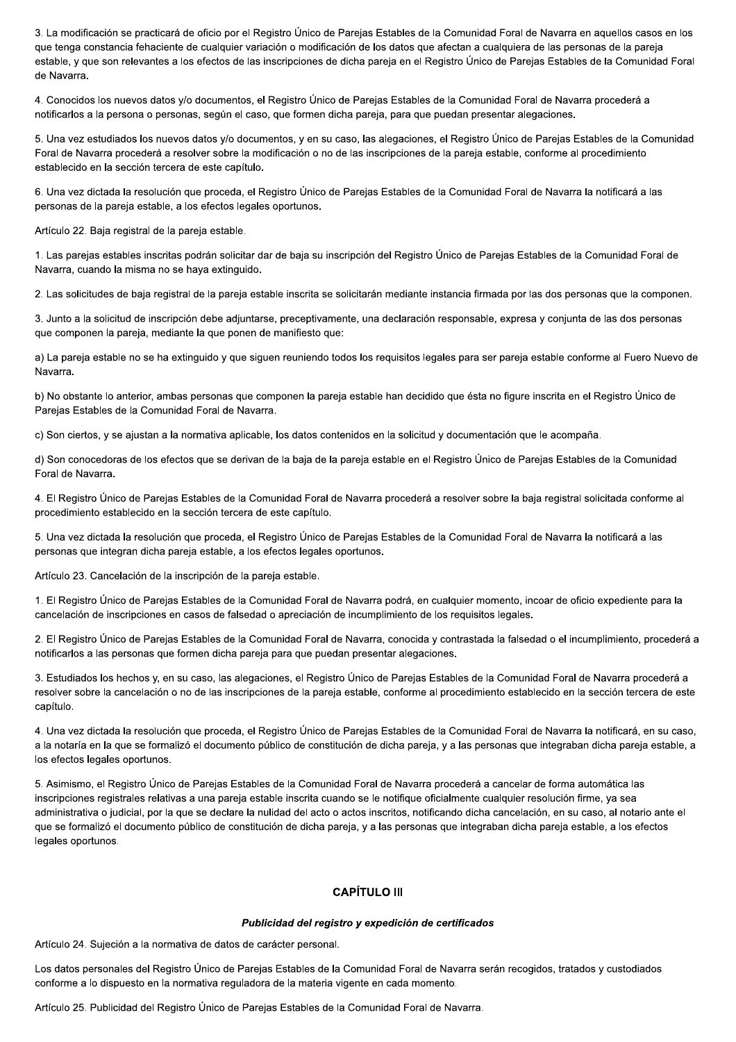3. La modificación se practicará de oficio por el Registro Único de Parejas Estables de la Comunidad Foral de Navarra en aquellos casos en los que tenga constancia fehaciente de cualquier variación o modificación de los datos que afectan a cualquiera de las personas de la pareja estable, y que son relevantes a los efectos de las inscripciones de dicha pareja en el Registro Único de Parejas Estables de la Comunidad Foral de Navarra.

4. Conocidos los nuevos datos y/o documentos, el Registro Único de Parejas Estables de la Comunidad Foral de Navarra procederá a notificarlos a la persona o personas, según el caso, que formen dicha pareja, para que puedan presentar alegaciones.

5. Una vez estudiados los nuevos datos y/o documentos, y en su caso, las alegaciones, el Registro Único de Parejas Estables de la Comunidad Foral de Navarra procederá a resolver sobre la modificación o no de las inscripciones de la pareja estable, conforme al procedimiento establecido en la sección tercera de este capítulo.

6. Una vez dictada la resolución que proceda, el Registro Único de Parejas Estables de la Comunidad Foral de Navarra la notificará a las personas de la pareja estable, a los efectos legales oportunos.

Artículo 22. Baja registral de la pareja estable.

1. Las parejas estables inscritas podrán solicitar dar de baja su inscripción del Registro Único de Parejas Estables de la Comunidad Foral de Navarra, cuando la misma no se haya extinguido.

2. Las solicitudes de baja registral de la pareja estable inscrita se solicitarán mediante instancia firmada por las dos personas que la componen.

3. Junto a la solicitud de inscripción debe adjuntarse, preceptivamente, una declaración responsable, expresa y conjunta de las dos personas que componen la pareja, mediante la que ponen de manifiesto que:

a) La pareja estable no se ha extinguido y que siguen reuniendo todos los requisitos legales para ser pareja estable conforme al Fuero Nuevo de Navarra.

b) No obstante lo anterior, ambas personas que componen la pareja estable han decidido que ésta no figure inscrita en el Registro Único de Parejas Estables de la Comunidad Foral de Navarra.

c) Son ciertos, y se ajustan a la normativa aplicable, los datos contenidos en la solicitud y documentación que le acompaña.

d) Son conocedoras de los efectos que se derivan de la baja de la pareja estable en el Registro Único de Parejas Estables de la Comunidad Foral de Navarra

4. El Registro Único de Parejas Estables de la Comunidad Foral de Navarra procederá a resolver sobre la baja registral solicitada conforme al procedimiento establecido en la sección tercera de este capítulo.

5. Una vez dictada la resolución que proceda, el Registro Único de Parejas Estables de la Comunidad Foral de Navarra la notificará a las personas que integran dicha pareja estable, a los efectos legales oportunos.

Artículo 23. Cancelación de la inscripción de la pareja estable.

1. El Registro Único de Parejas Estables de la Comunidad Foral de Navarra podrá, en cualquier momento, incoar de oficio expediente para la cancelación de inscripciones en casos de falsedad o apreciación de incumplimiento de los requisitos legales.

2. El Registro Único de Parejas Estables de la Comunidad Foral de Navarra, conocida y contrastada la falsedad o el incumplimiento, procederá a notificarlos a las personas que formen dicha pareja para que puedan presentar alegaciones.

3. Estudiados los hechos y, en su caso, las alegaciones, el Registro Único de Pareias Estables de la Comunidad Foral de Navarra procederá a resolver sobre la cancelación o no de las inscripciones de la pareja estable, conforme al procedimiento establecido en la sección tercera de este capítulo.

4. Una vez dictada la resolución que proceda, el Registro Único de Parejas Estables de la Comunidad Foral de Navarra la notificará, en su caso, a la notaría en la que se formalizó el documento público de constitución de dicha pareja, y a las personas que integraban dicha pareja estable, a los efectos legales oportunos.

5. Asimismo, el Registro Único de Parejas Estables de la Comunidad Foral de Navarra procederá a cancelar de forma automática las inscripciones registrales relativas a una pareja estable inscrita cuando se le notifique oficialmente cualquier resolución firme, ya sea administrativa o judicial, por la que se declare la nulidad del acto o actos inscritos, notificando dicha cancelación, en su caso, al notario ante el que se formalizó el documento público de constitución de dicha pareja, y a las personas que integraban dicha pareja estable, a los efectos legales oportunos.

## **CAPÍTULO III**

#### Publicidad del registro y expedición de certificados

Artículo 24. Sujeción a la normativa de datos de carácter personal.

Los datos personales del Registro Único de Parejas Estables de la Comunidad Foral de Navarra serán recogidos, tratados y custodiados conforme a lo dispuesto en la normativa reguladora de la materia vigente en cada momento.

Artículo 25. Publicidad del Registro Único de Parejas Estables de la Comunidad Foral de Navarra.